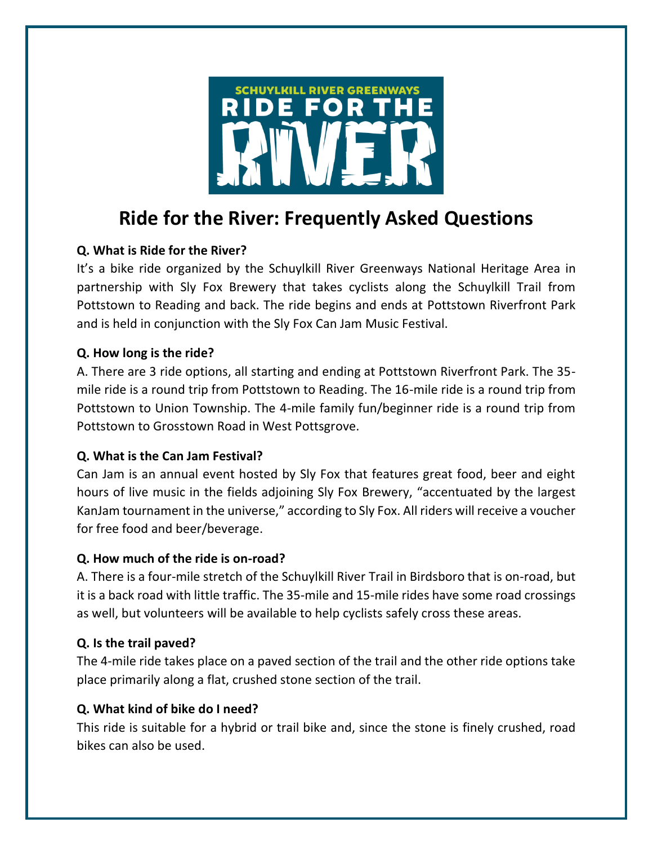

# **Ride for the River: Frequently Asked Questions**

# **Q. What is Ride for the River?**

It's a bike ride organized by the Schuylkill River Greenways National Heritage Area in partnership with Sly Fox Brewery that takes cyclists along the Schuylkill Trail from Pottstown to Reading and back. The ride begins and ends at Pottstown Riverfront Park and is held in conjunction with the Sly Fox Can Jam Music Festival.

## **Q. How long is the ride?**

A. There are 3 ride options, all starting and ending at Pottstown Riverfront Park. The 35 mile ride is a round trip from Pottstown to Reading. The 16-mile ride is a round trip from Pottstown to Union Township. The 4-mile family fun/beginner ride is a round trip from Pottstown to Grosstown Road in West Pottsgrove.

## **Q. What is the Can Jam Festival?**

Can Jam is an annual event hosted by Sly Fox that features great food, beer and eight hours of live music in the fields adjoining Sly Fox Brewery, "accentuated by the largest KanJam tournament in the universe," according to Sly Fox. All riders will receive a voucher for free food and beer/beverage.

## **Q. How much of the ride is on-road?**

A. There is a four-mile stretch of the Schuylkill River Trail in Birdsboro that is on-road, but it is a back road with little traffic. The 35-mile and 15-mile rides have some road crossings as well, but volunteers will be available to help cyclists safely cross these areas.

## **Q. Is the trail paved?**

The 4-mile ride takes place on a paved section of the trail and the other ride options take place primarily along a flat, crushed stone section of the trail.

## **Q. What kind of bike do I need?**

This ride is suitable for a hybrid or trail bike and, since the stone is finely crushed, road bikes can also be used.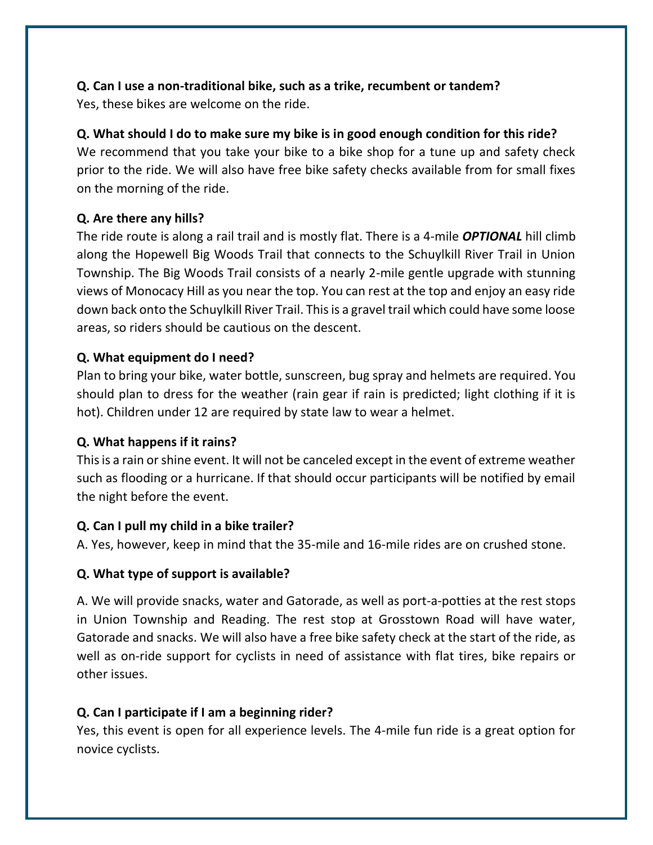# **Q. Can I use a non-traditional bike, such as a trike, recumbent or tandem?**

Yes, these bikes are welcome on the ride.

# **Q. What should I do to make sure my bike is in good enough condition for this ride?**

We recommend that you take your bike to a bike shop for a tune up and safety check prior to the ride. We will also have free bike safety checks available from for small fixes on the morning of the ride.

# **Q. Are there any hills?**

The ride route is along a rail trail and is mostly flat. There is a 4-mile *OPTIONAL* hill climb along the Hopewell Big Woods Trail that connects to the Schuylkill River Trail in Union Township. The Big Woods Trail consists of a nearly 2-mile gentle upgrade with stunning views of Monocacy Hill as you near the top. You can rest at the top and enjoy an easy ride down back onto the Schuylkill River Trail. This is a gravel trail which could have some loose areas, so riders should be cautious on the descent.

# **Q. What equipment do I need?**

Plan to bring your bike, water bottle, sunscreen, bug spray and helmets are required. You should plan to dress for the weather (rain gear if rain is predicted; light clothing if it is hot). Children under 12 are required by state law to wear a helmet.

## **Q. What happens if it rains?**

This is a rain or shine event. It will not be canceled except in the event of extreme weather such as flooding or a hurricane. If that should occur participants will be notified by email the night before the event.

## **Q. Can I pull my child in a bike trailer?**

A. Yes, however, keep in mind that the 35-mile and 16-mile rides are on crushed stone.

# **Q. What type of support is available?**

A. We will provide snacks, water and Gatorade, as well as port-a-potties at the rest stops in Union Township and Reading. The rest stop at Grosstown Road will have water, Gatorade and snacks. We will also have a free bike safety check at the start of the ride, as well as on-ride support for cyclists in need of assistance with flat tires, bike repairs or other issues.

# **Q. Can I participate if I am a beginning rider?**

Yes, this event is open for all experience levels. The 4-mile fun ride is a great option for novice cyclists.